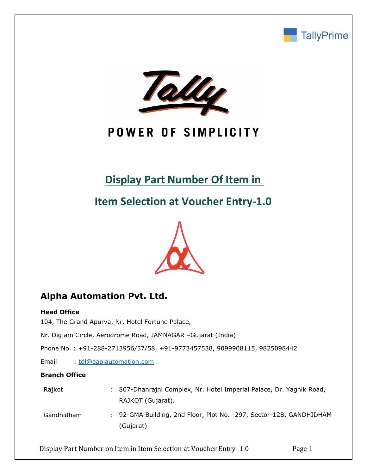



# POWER OF SIMPLICITY

# **Display Part Number Of Item in**

**Item Selection at Voucher Entry-1.0**



# **Alpha Automation Pvt. Ltd.**

### **Head Office**

104, The Grand Apurva, Nr. Hotel Fortune Palace,

Nr. Digjam Circle, Aerodrome Road, JAMNAGAR –Gujarat (India)

Phone No. : +91-288-2713956/57/58, +91-9773457538, 9099908115, 9825098442

Email : [tdl@aaplautomation.com](mailto:tdl@aaplautomation.com)

### **Branch Office**

| Rajkot     | : 807-Dhanrajni Complex, Nr. Hotel Imperial Palace, Dr. Yagnik Road, |  |  |  |  |  |  |
|------------|----------------------------------------------------------------------|--|--|--|--|--|--|
|            | RAJKOT (Gujarat).                                                    |  |  |  |  |  |  |
| Gandhidham | : 92-GMA Building, 2nd Floor, Plot No. -297, Sector-12B, GANDHIDHAN  |  |  |  |  |  |  |

Gandhidham : 92-GMA Building, 2nd Floor, Plot No. -297, Sector-12B. GANDHIDHAM (Gujarat)

Display Part Number on Item in Item Selection at Voucher Entry- 1.0 Page 1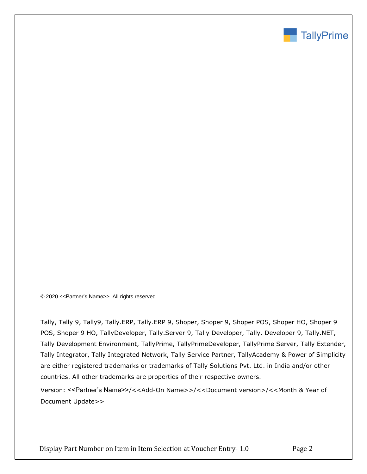

© 2020 <<Partner's Name>>. All rights reserved.

Tally, Tally 9, Tally9, Tally.ERP, Tally.ERP 9, Shoper, Shoper 9, Shoper POS, Shoper HO, Shoper 9 POS, Shoper 9 HO, TallyDeveloper, Tally.Server 9, Tally Developer, Tally. Developer 9, Tally.NET, Tally Development Environment, TallyPrime, TallyPrimeDeveloper, TallyPrime Server, Tally Extender, Tally Integrator, Tally Integrated Network, Tally Service Partner, TallyAcademy & Power of Simplicity are either registered trademarks or trademarks of Tally Solutions Pvt. Ltd. in India and/or other countries. All other trademarks are properties of their respective owners.

Version: <<Partner's Name>>/<<Add-On Name>>/<<Document version>/<<Month & Year of Document Update>>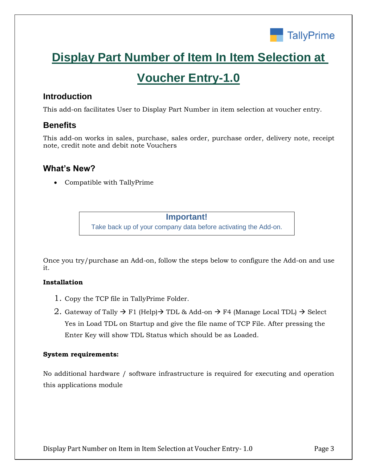

# **Display Part Number of Item In Item Selection at**

# **Voucher Entry-1.0**

## **Introduction**

This add-on facilitates User to Display Part Number in item selection at voucher entry.

## **Benefits**

This add-on works in sales, purchase, sales order, purchase order, delivery note, receipt note, credit note and debit note Vouchers

## **What's New?**

• Compatible with TallyPrime

## **Important!**

Take back up of your company data before activating the Add-on.

Once you try/purchase an Add-on, follow the steps below to configure the Add-on and use it.

## **Installation**

- 1. Copy the TCP file in TallyPrime Folder.
- 2. Gateway of Tally  $\rightarrow$  F1 (Help) $\rightarrow$  TDL & Add-on  $\rightarrow$  F4 (Manage Local TDL)  $\rightarrow$  Select Yes in Load TDL on Startup and give the file name of TCP File. After pressing the Enter Key will show TDL Status which should be as Loaded.

## **System requirements:**

No additional hardware / software infrastructure is required for executing and operation this applications module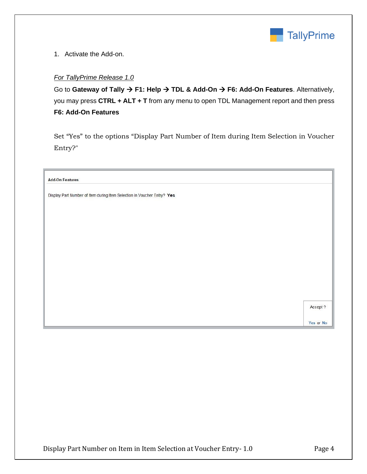

1. Activate the Add-on.

### *For TallyPrime Release 1.0*

Go to **Gateway of Tally** → **F1: Help** → **TDL & Add-On** → **F6: Add-On Features**. Alternatively, you may press **CTRL + ALT + T** from any menu to open TDL Management report and then press **F6: Add-On Features**

Set "Yes" to the options "Display Part Number of Item during Item Selection in Voucher Entry?"

| <b>Add-On Features</b>                                                  |           |
|-------------------------------------------------------------------------|-----------|
| Display Part Number of Item during Item Selection in Voucher Entry? Yes |           |
|                                                                         |           |
|                                                                         |           |
|                                                                         |           |
|                                                                         |           |
|                                                                         |           |
|                                                                         |           |
|                                                                         |           |
|                                                                         | Accept ?  |
|                                                                         | Yes or No |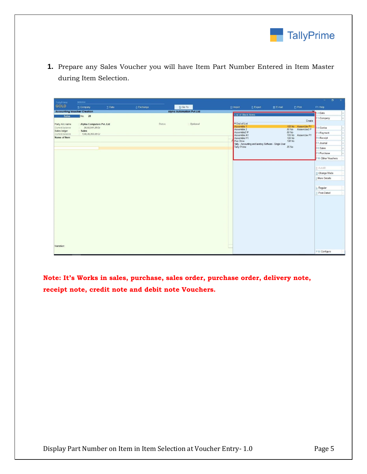

**1.** Prepare any Sales Voucher you will have Item Part Number Entered in Item Master during Item Selection.

| TallyPrime                         | MANAGE                     |         |             |                                 |            |                                                                     |                                   |           |                                            | $=$<br>$\sigma$<br>$\overline{\mathbf{x}}$ |
|------------------------------------|----------------------------|---------|-------------|---------------------------------|------------|---------------------------------------------------------------------|-----------------------------------|-----------|--------------------------------------------|--------------------------------------------|
| <b>GOLD</b>                        | K: Company                 | Y: Data | Z: Exchange | G: Go To                        |            | O: Import                                                           | E: Export                         | M: E-mail | P: Print                                   | F1: Help                                   |
| <b>Accounting Voucher Creation</b> |                            |         |             | <b>Alpha Automation Pvt Ltd</b> |            | List of Stock Items                                                 | <b>M</b><br>F <sub>2</sub> : Date |           |                                            |                                            |
| Sales                              | No. 28                     |         |             |                                 |            |                                                                     |                                   |           |                                            | : Company                                  |
| Party A/c name                     | : Alpha Computers Pvt. Ltd |         |             | Status                          | : Optional | • End of List                                                       |                                   |           | Create                                     |                                            |
| Current balance                    | 20,92,541.20 Dr            |         |             |                                 |            | Assemble 1<br>Assemble 2                                            |                                   |           | 105 No Assemble P1<br>50 No<br>Assemble2 P | 4: Contra                                  |
| Sales ledger<br>Current balance    | Sales<br>1,08,38,365.00 Cr |         |             |                                 |            | Assemble2 P                                                         |                                   |           | 50 No                                      | 5: Payment                                 |
| Name of Item                       |                            |         |             |                                 |            | Assemble A1<br>Assemble P1                                          |                                   |           | 105 No Assemble P1<br>105 No               | Receipt                                    |
|                                    |                            |         |             |                                 |            | Pen Drive<br>Tally - Accounting and lavetory Software - Single User |                                   |           | 120 No                                     | : Journal                                  |
|                                    |                            |         |             |                                 |            | Tally Prime                                                         |                                   |           | 35 No                                      | Sales                                      |
|                                    |                            |         |             |                                 |            |                                                                     |                                   |           |                                            | : Purchase                                 |
|                                    |                            |         |             |                                 |            |                                                                     |                                   |           | 10: Other Vouchers                         |                                            |
|                                    |                            |         |             |                                 |            |                                                                     |                                   |           |                                            |                                            |
|                                    |                            |         |             |                                 |            |                                                                     |                                   |           |                                            | E: Autofill                                |
|                                    |                            |         |             |                                 |            |                                                                     |                                   |           |                                            | H: Change Mode                             |
|                                    |                            |         |             |                                 |            |                                                                     |                                   |           |                                            | I: More Details                            |
|                                    |                            |         |             |                                 |            |                                                                     |                                   |           |                                            |                                            |
|                                    |                            |         |             |                                 |            |                                                                     |                                   |           |                                            | L: Regular                                 |
|                                    |                            |         |             |                                 |            |                                                                     |                                   |           |                                            | T: Post-Dated                              |
|                                    |                            |         |             |                                 |            |                                                                     |                                   |           |                                            |                                            |
|                                    |                            |         |             |                                 |            |                                                                     |                                   |           |                                            |                                            |
|                                    |                            |         |             |                                 |            |                                                                     |                                   |           |                                            |                                            |
|                                    |                            |         |             |                                 |            |                                                                     |                                   |           |                                            |                                            |
|                                    |                            |         |             |                                 |            |                                                                     |                                   |           |                                            |                                            |
|                                    |                            |         |             |                                 |            |                                                                     |                                   |           |                                            |                                            |
|                                    |                            |         |             |                                 |            |                                                                     |                                   |           |                                            |                                            |
|                                    |                            |         |             |                                 |            |                                                                     |                                   |           |                                            |                                            |
|                                    |                            |         |             |                                 |            |                                                                     |                                   |           |                                            |                                            |
| Narration:                         |                            |         |             |                                 |            |                                                                     |                                   |           |                                            |                                            |
|                                    |                            |         |             |                                 |            |                                                                     |                                   |           |                                            | F12: Configure                             |
|                                    |                            |         |             |                                 |            |                                                                     |                                   |           |                                            |                                            |

**Note: It's Works in sales, purchase, sales order, purchase order, delivery note, receipt note, credit note and debit note Vouchers.**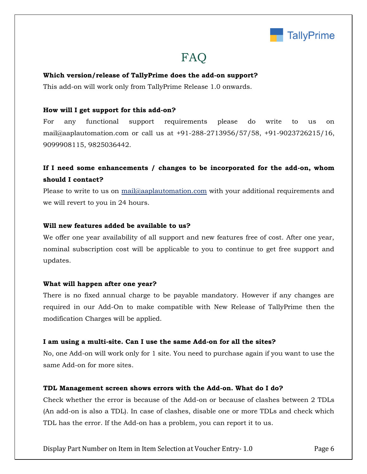

# FAQ

#### **Which version/release of TallyPrime does the add-on support?**

This add-on will work only from TallyPrime Release 1.0 onwards.

#### **How will I get support for this add-on?**

For any functional support requirements please do write to us on mail@aaplautomation.com or call us at +91-288-2713956/57/58, +91-9023726215/16, 9099908115, 9825036442.

## **If I need some enhancements / changes to be incorporated for the add-on, whom should I contact?**

Please to write to us on mail@aaplautomation.com with your additional requirements and we will revert to you in 24 hours.

#### **Will new features added be available to us?**

We offer one year availability of all support and new features free of cost. After one year, nominal subscription cost will be applicable to you to continue to get free support and updates.

#### **What will happen after one year?**

There is no fixed annual charge to be payable mandatory. However if any changes are required in our Add-On to make compatible with New Release of TallyPrime then the modification Charges will be applied.

#### **I am using a multi-site. Can I use the same Add-on for all the sites?**

No, one Add-on will work only for 1 site. You need to purchase again if you want to use the same Add-on for more sites.

### **TDL Management screen shows errors with the Add-on. What do I do?**

Check whether the error is because of the Add-on or because of clashes between 2 TDLs (An add-on is also a TDL). In case of clashes, disable one or more TDLs and check which TDL has the error. If the Add-on has a problem, you can report it to us.

Display Part Number on Item in Item Selection at Voucher Entry- 1.0 Page 6